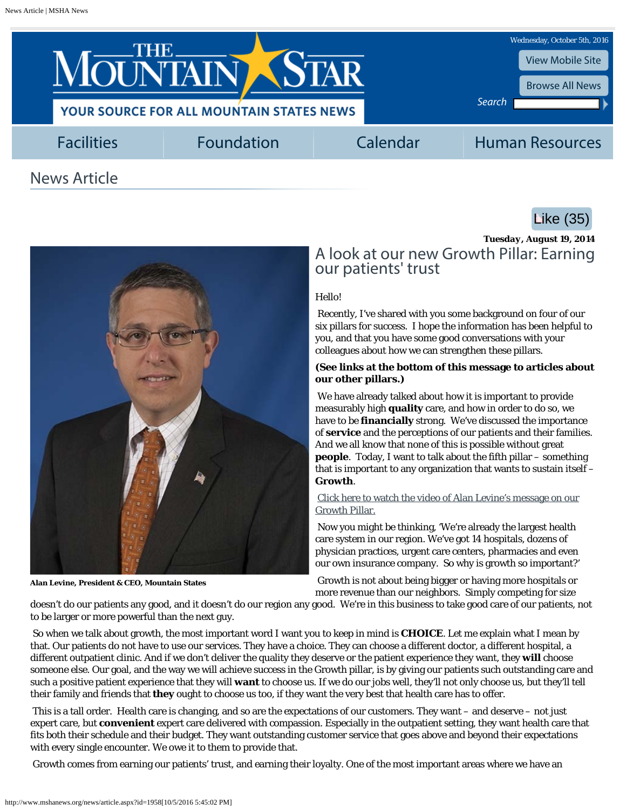<span id="page-0-0"></span>





**Alan Levine, President & CEO, Mountain States**

*Tuesday, August 19, 2014* A look at our new Growth Pillar: Earning our patients' trust

## Hello!

Recently, I've shared with you some background on four of our six pillars for success. I hope the information has been helpful to you, and that you have some good conversations with your colleagues about how we can strengthen these pillars.

## **(See links at the bottom of this message to articles about our other pillars.)**

We have already talked about how it is important to provide measurably high **quality** care, and how in order to do so, we have to be **financially** strong. We've discussed the importance of **service** and the perceptions of our patients and their families. And we all know that none of this is possible without great **people**. Today, I want to talk about the fifth pillar – something that is important to any organization that wants to sustain itself – **Growth**.

[Click here to watch the video of Alan Levine's message on our](https://msha.box.com/s/nklj6s8wq848nvyc83l3) [Growth Pillar.](https://msha.box.com/s/nklj6s8wq848nvyc83l3)

Now you might be thinking, 'We're already the largest health care system in our region. We've got 14 hospitals, dozens of physician practices, urgent care centers, pharmacies and even our own insurance company. So why is growth so important?'

Growth is not about being bigger or having more hospitals or more revenue than our neighbors. Simply competing for size

doesn't do our patients any good, and it doesn't do our region any good. We're in this business to take good care of our patients, not to be larger or more powerful than the next guy.

So when we talk about growth, the most important word I want you to keep in mind is **CHOICE**. Let me explain what I mean by that. Our patients do not have to use our services. They have a choice. They can choose a different doctor, a different hospital, a different outpatient clinic. And if we don't deliver the quality they deserve or the patient experience they want, they **will** choose someone else. Our goal, and the way we will achieve success in the Growth pillar, is by giving our patients such outstanding care and such a positive patient experience that they will **want** to choose us. If we do our jobs well, they'll not only choose us, but they'll tell their family and friends that **they** ought to choose us too, if they want the very best that health care has to offer.

This is a tall order. Health care is changing, and so are the expectations of our customers. They want – and deserve – not just expert care, but **convenient** expert care delivered with compassion. Especially in the outpatient setting, they want health care that fits both their schedule and their budget. They want outstanding customer service that goes above and beyond their expectations with every single encounter. We owe it to them to provide that.

Growth comes from earning our patients' trust, and earning their loyalty. One of the most important areas where we have an